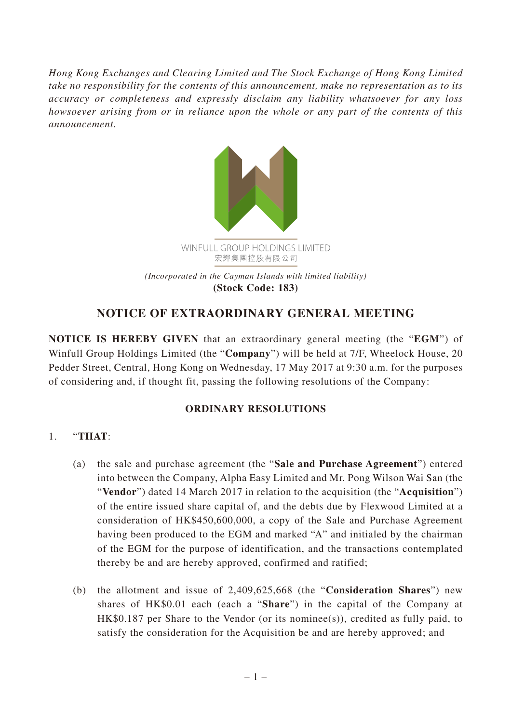*Hong Kong Exchanges and Clearing Limited and The Stock Exchange of Hong Kong Limited take no responsibility for the contents of this announcement, make no representation as to its accuracy or completeness and expressly disclaim any liability whatsoever for any loss howsoever arising from or in reliance upon the whole or any part of the contents of this announcement.*



## **NOTICE OF EXTRAORDINARY GENERAL MEETING**

**NOTICE IS HEREBY GIVEN** that an extraordinary general meeting (the "**EGM**") of Winfull Group Holdings Limited (the "**Company**") will be held at 7/F, Wheelock House, 20 Pedder Street, Central, Hong Kong on Wednesday, 17 May 2017 at 9:30 a.m. for the purposes of considering and, if thought fit, passing the following resolutions of the Company:

## **ORDINARY RESOLUTIONS**

## 1. "**THAT**:

- (a) the sale and purchase agreement (the "**Sale and Purchase Agreement**") entered into between the Company, Alpha Easy Limited and Mr. Pong Wilson Wai San (the "**Vendor**") dated 14 March 2017 in relation to the acquisition (the "**Acquisition**") of the entire issued share capital of, and the debts due by Flexwood Limited at a consideration of HK\$450,600,000, a copy of the Sale and Purchase Agreement having been produced to the EGM and marked "A" and initialed by the chairman of the EGM for the purpose of identification, and the transactions contemplated thereby be and are hereby approved, confirmed and ratified;
- (b) the allotment and issue of 2,409,625,668 (the "**Consideration Shares**") new shares of HK\$0.01 each (each a "**Share**") in the capital of the Company at  $HK$0.187$  per Share to the Vendor (or its nominee(s)), credited as fully paid, to satisfy the consideration for the Acquisition be and are hereby approved; and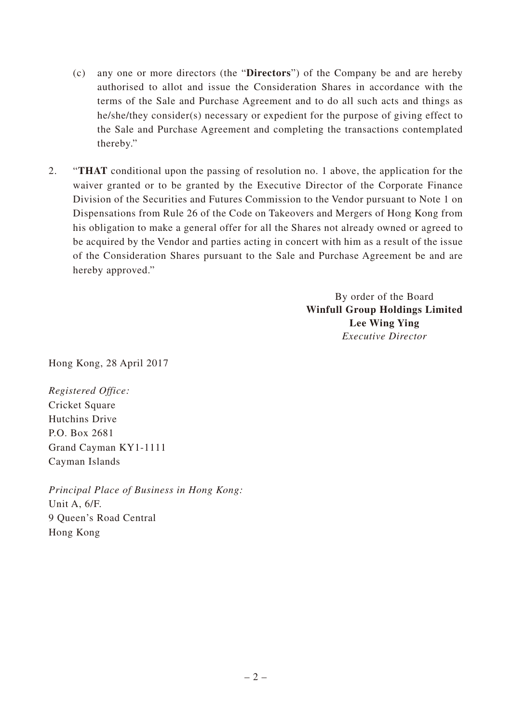- (c) any one or more directors (the "**Directors**") of the Company be and are hereby authorised to allot and issue the Consideration Shares in accordance with the terms of the Sale and Purchase Agreement and to do all such acts and things as he/she/they consider(s) necessary or expedient for the purpose of giving effect to the Sale and Purchase Agreement and completing the transactions contemplated thereby."
- 2. "**THAT** conditional upon the passing of resolution no. 1 above, the application for the waiver granted or to be granted by the Executive Director of the Corporate Finance Division of the Securities and Futures Commission to the Vendor pursuant to Note 1 on Dispensations from Rule 26 of the Code on Takeovers and Mergers of Hong Kong from his obligation to make a general offer for all the Shares not already owned or agreed to be acquired by the Vendor and parties acting in concert with him as a result of the issue of the Consideration Shares pursuant to the Sale and Purchase Agreement be and are hereby approved."

By order of the Board **Winfull Group Holdings Limited Lee Wing Ying** *Executive Director*

Hong Kong, 28 April 2017

*Registered Office:* Cricket Square Hutchins Drive P.O. Box 2681 Grand Cayman KY1-1111 Cayman Islands

*Principal Place of Business in Hong Kong:* Unit A, 6/F. 9 Queen's Road Central Hong Kong